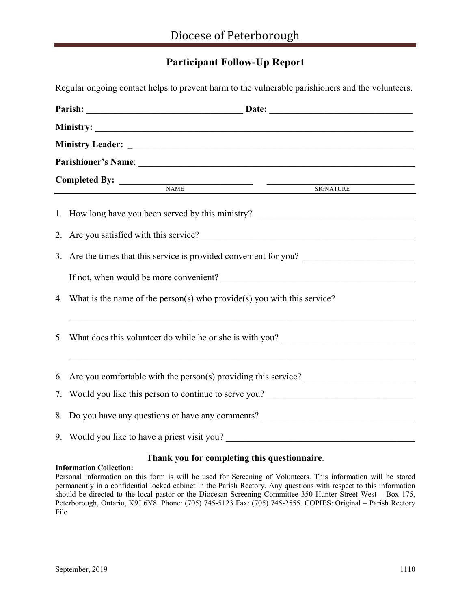# **Participant Follow-Up Report**

Regular ongoing contact helps to prevent harm to the vulnerable parishioners and the volunteers.

|  | Parish: Date: Date: Date: Date: Date: Date: Date: Date: Date: Date: Date: Date: Date: Date: Date: Date: Date: Date: Date: Date: Date: Date: Date: Date: Date: Date: Date: Date: Date: Date: Date: Date: Date: Date: Date: Date |  |  |  |  |  |
|--|--------------------------------------------------------------------------------------------------------------------------------------------------------------------------------------------------------------------------------|--|--|--|--|--|
|  |                                                                                                                                                                                                                                |  |  |  |  |  |
|  |                                                                                                                                                                                                                                |  |  |  |  |  |
|  |                                                                                                                                                                                                                                |  |  |  |  |  |
|  |                                                                                                                                                                                                                                |  |  |  |  |  |
|  | Completed By: NAME NAME SIGNATURE                                                                                                                                                                                              |  |  |  |  |  |
|  | 1. How long have you been served by this ministry? _____________________________                                                                                                                                               |  |  |  |  |  |
|  |                                                                                                                                                                                                                                |  |  |  |  |  |
|  | 3. Are the times that this service is provided convenient for you?                                                                                                                                                             |  |  |  |  |  |
|  |                                                                                                                                                                                                                                |  |  |  |  |  |
|  | 4. What is the name of the person(s) who provide(s) you with this service?                                                                                                                                                     |  |  |  |  |  |
|  | 5. What does this volunteer do while he or she is with you?                                                                                                                                                                    |  |  |  |  |  |
|  | 6. Are you comfortable with the person(s) providing this service?                                                                                                                                                              |  |  |  |  |  |
|  | 7. Would you like this person to continue to serve you? ________________________                                                                                                                                               |  |  |  |  |  |
|  | 8. Do you have any questions or have any comments? _____________________________                                                                                                                                               |  |  |  |  |  |
|  | 9. Would you like to have a priest visit you? __________________________________                                                                                                                                               |  |  |  |  |  |

## **Thank you for completing this questionnaire**.

### **Information Collection:**

Personal information on this form is will be used for Screening of Volunteers. This information will be stored permanently in a confidential locked cabinet in the Parish Rectory. Any questions with respect to this information should be directed to the local pastor or the Diocesan Screening Committee 350 Hunter Street West – Box 175, Peterborough, Ontario, K9J 6Y8. Phone: (705) 745-5123 Fax: (705) 745-2555. COPIES: Original – Parish Rectory File